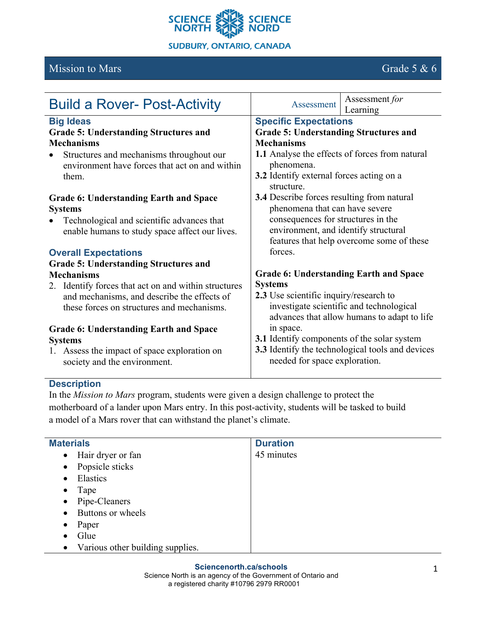

# Mission to Mars Grade 5  $\&$  6

| <b>Build a Rover- Post-Activity</b>                  | Assessment for<br>Assessment                      |
|------------------------------------------------------|---------------------------------------------------|
|                                                      | Learning                                          |
| <b>Big Ideas</b>                                     | <b>Specific Expectations</b>                      |
| <b>Grade 5: Understanding Structures and</b>         | <b>Grade 5: Understanding Structures and</b>      |
| <b>Mechanisms</b>                                    | <b>Mechanisms</b>                                 |
| Structures and mechanisms throughout our             | 1.1 Analyse the effects of forces from natural    |
| environment have forces that act on and within       | phenomena.                                        |
| them.                                                | 3.2 Identify external forces acting on a          |
|                                                      | structure.                                        |
| <b>Grade 6: Understanding Earth and Space</b>        | <b>3.4</b> Describe forces resulting from natural |
| <b>Systems</b>                                       | phenomena that can have severe                    |
| Technological and scientific advances that           | consequences for structures in the                |
|                                                      | environment, and identify structural              |
| enable humans to study space affect our lives.       | features that help overcome some of these         |
|                                                      | forces.                                           |
| <b>Overall Expectations</b>                          |                                                   |
| <b>Grade 5: Understanding Structures and</b>         |                                                   |
| <b>Mechanisms</b>                                    | Grade 6: Understanding Earth and Space            |
| 2. Identify forces that act on and within structures | <b>Systems</b>                                    |
| and mechanisms, and describe the effects of          | 2.3 Use scientific inquiry/research to            |
| these forces on structures and mechanisms.           | investigate scientific and technological          |
|                                                      | advances that allow humans to adapt to life       |
| <b>Grade 6: Understanding Earth and Space</b>        | in space.                                         |
|                                                      | 3.1 Identify components of the solar system       |
| <b>Systems</b>                                       |                                                   |
| 1. Assess the impact of space exploration on         | 3.3 Identify the technological tools and devices  |
| society and the environment.                         | needed for space exploration.                     |
|                                                      |                                                   |

## **Description**

In the *Mission to Mars* program, students were given a design challenge to protect the motherboard of a lander upon Mars entry. In this post-activity, students will be tasked to build a model of a Mars rover that can withstand the planet's climate.

| <b>Materials</b>                              | <b>Duration</b> |
|-----------------------------------------------|-----------------|
| Hair dryer or fan<br>$\bullet$                | 45 minutes      |
| Popsicle sticks<br>$\bullet$                  |                 |
| Elastics<br>$\bullet$                         |                 |
| Tape<br>$\bullet$                             |                 |
| • Pipe-Cleaners                               |                 |
| Buttons or wheels<br>$\bullet$                |                 |
| Paper<br>$\bullet$                            |                 |
| Glue<br>$\bullet$                             |                 |
| Various other building supplies.<br>$\bullet$ |                 |